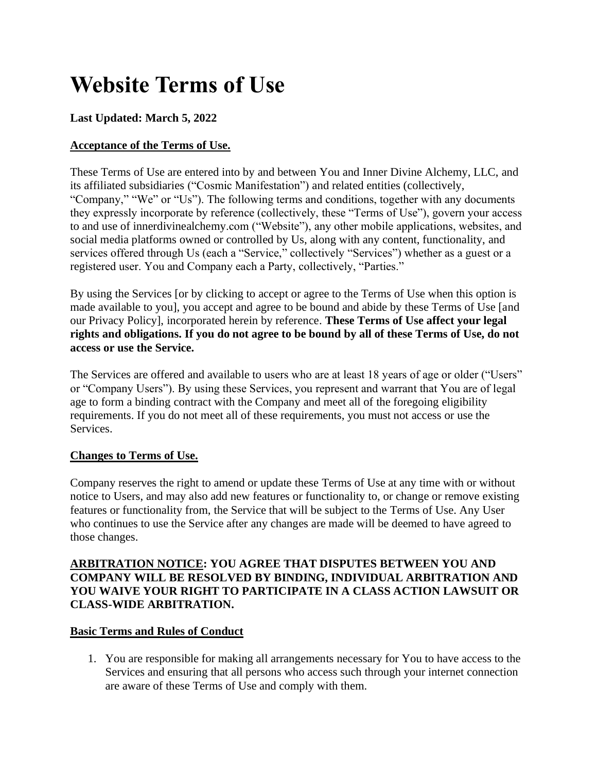# **Website Terms of Use**

# **Last Updated: March 5, 2022**

# **Acceptance of the Terms of Use.**

These Terms of Use are entered into by and between You and Inner Divine Alchemy, LLC, and its affiliated subsidiaries ("Cosmic Manifestation") and related entities (collectively, "Company," "We" or "Us"). The following terms and conditions, together with any documents they expressly incorporate by reference (collectively, these "Terms of Use"), govern your access to and use of innerdivinealchemy.com ("Website"), any other mobile applications, websites, and social media platforms owned or controlled by Us, along with any content, functionality, and services offered through Us (each a "Service," collectively "Services") whether as a guest or a registered user. You and Company each a Party, collectively, "Parties."

By using the Services [or by clicking to accept or agree to the Terms of Use when this option is made available to you], you accept and agree to be bound and abide by these Terms of Use [and our Privacy Policy], incorporated herein by reference. **These Terms of Use affect your legal rights and obligations. If you do not agree to be bound by all of these Terms of Use, do not access or use the Service.**

The Services are offered and available to users who are at least 18 years of age or older ("Users" or "Company Users"). By using these Services, you represent and warrant that You are of legal age to form a binding contract with the Company and meet all of the foregoing eligibility requirements. If you do not meet all of these requirements, you must not access or use the Services.

## **Changes to Terms of Use.**

Company reserves the right to amend or update these Terms of Use at any time with or without notice to Users, and may also add new features or functionality to, or change or remove existing features or functionality from, the Service that will be subject to the Terms of Use. Any User who continues to use the Service after any changes are made will be deemed to have agreed to those changes.

## **ARBITRATION NOTICE: YOU AGREE THAT DISPUTES BETWEEN YOU AND COMPANY WILL BE RESOLVED BY BINDING, INDIVIDUAL ARBITRATION AND YOU WAIVE YOUR RIGHT TO PARTICIPATE IN A CLASS ACTION LAWSUIT OR CLASS-WIDE ARBITRATION.**

## **Basic Terms and Rules of Conduct**

1. You are responsible for making all arrangements necessary for You to have access to the Services and ensuring that all persons who access such through your internet connection are aware of these Terms of Use and comply with them.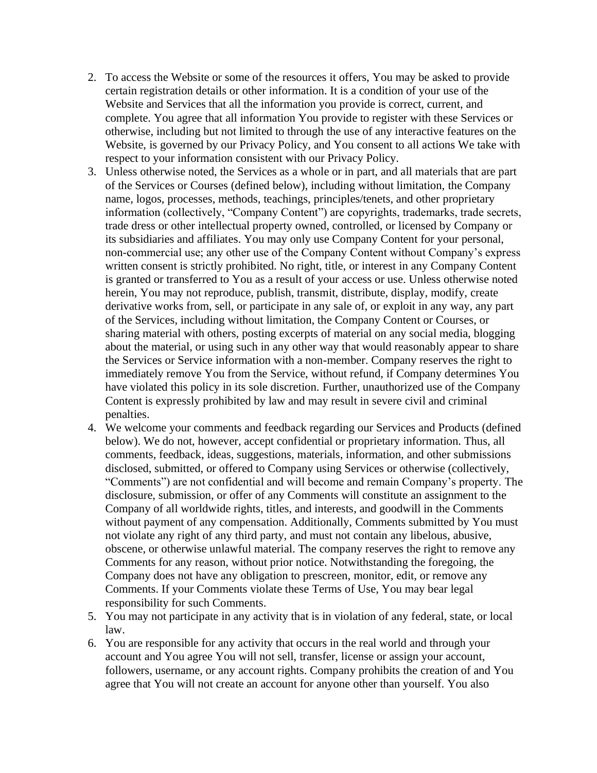- 2. To access the Website or some of the resources it offers, You may be asked to provide certain registration details or other information. It is a condition of your use of the Website and Services that all the information you provide is correct, current, and complete. You agree that all information You provide to register with these Services or otherwise, including but not limited to through the use of any interactive features on the Website, is governed by our Privacy Policy, and You consent to all actions We take with respect to your information consistent with our Privacy Policy.
- 3. Unless otherwise noted, the Services as a whole or in part, and all materials that are part of the Services or Courses (defined below), including without limitation, the Company name, logos, processes, methods, teachings, principles/tenets, and other proprietary information (collectively, "Company Content") are copyrights, trademarks, trade secrets, trade dress or other intellectual property owned, controlled, or licensed by Company or its subsidiaries and affiliates. You may only use Company Content for your personal, non-commercial use; any other use of the Company Content without Company's express written consent is strictly prohibited. No right, title, or interest in any Company Content is granted or transferred to You as a result of your access or use. Unless otherwise noted herein, You may not reproduce, publish, transmit, distribute, display, modify, create derivative works from, sell, or participate in any sale of, or exploit in any way, any part of the Services, including without limitation, the Company Content or Courses, or sharing material with others, posting excerpts of material on any social media, blogging about the material, or using such in any other way that would reasonably appear to share the Services or Service information with a non-member. Company reserves the right to immediately remove You from the Service, without refund, if Company determines You have violated this policy in its sole discretion. Further, unauthorized use of the Company Content is expressly prohibited by law and may result in severe civil and criminal penalties.
- 4. We welcome your comments and feedback regarding our Services and Products (defined below). We do not, however, accept confidential or proprietary information. Thus, all comments, feedback, ideas, suggestions, materials, information, and other submissions disclosed, submitted, or offered to Company using Services or otherwise (collectively, "Comments") are not confidential and will become and remain Company's property. The disclosure, submission, or offer of any Comments will constitute an assignment to the Company of all worldwide rights, titles, and interests, and goodwill in the Comments without payment of any compensation. Additionally, Comments submitted by You must not violate any right of any third party, and must not contain any libelous, abusive, obscene, or otherwise unlawful material. The company reserves the right to remove any Comments for any reason, without prior notice. Notwithstanding the foregoing, the Company does not have any obligation to prescreen, monitor, edit, or remove any Comments. If your Comments violate these Terms of Use, You may bear legal responsibility for such Comments.
- 5. You may not participate in any activity that is in violation of any federal, state, or local law.
- 6. You are responsible for any activity that occurs in the real world and through your account and You agree You will not sell, transfer, license or assign your account, followers, username, or any account rights. Company prohibits the creation of and You agree that You will not create an account for anyone other than yourself. You also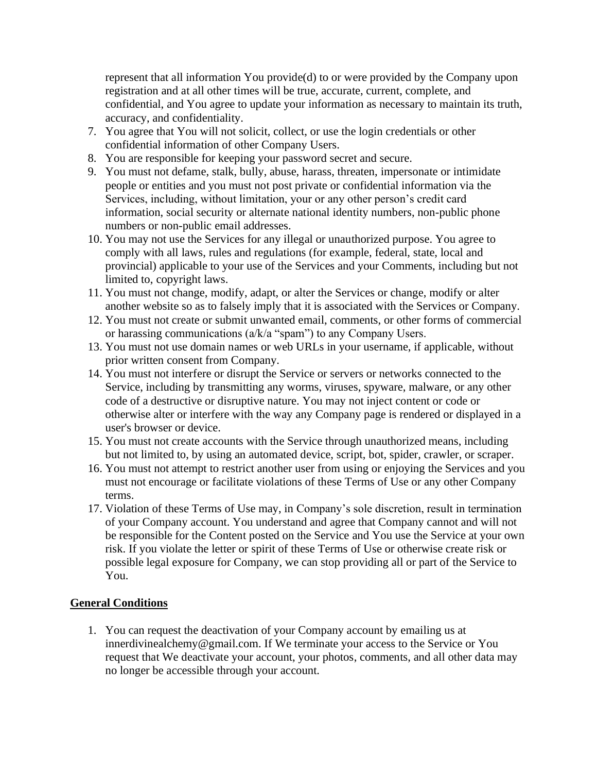represent that all information You provide(d) to or were provided by the Company upon registration and at all other times will be true, accurate, current, complete, and confidential, and You agree to update your information as necessary to maintain its truth, accuracy, and confidentiality.

- 7. You agree that You will not solicit, collect, or use the login credentials or other confidential information of other Company Users.
- 8. You are responsible for keeping your password secret and secure.
- 9. You must not defame, stalk, bully, abuse, harass, threaten, impersonate or intimidate people or entities and you must not post private or confidential information via the Services, including, without limitation, your or any other person's credit card information, social security or alternate national identity numbers, non-public phone numbers or non-public email addresses.
- 10. You may not use the Services for any illegal or unauthorized purpose. You agree to comply with all laws, rules and regulations (for example, federal, state, local and provincial) applicable to your use of the Services and your Comments, including but not limited to, copyright laws.
- 11. You must not change, modify, adapt, or alter the Services or change, modify or alter another website so as to falsely imply that it is associated with the Services or Company.
- 12. You must not create or submit unwanted email, comments, or other forms of commercial or harassing communications (a/k/a "spam") to any Company Users.
- 13. You must not use domain names or web URLs in your username, if applicable, without prior written consent from Company.
- 14. You must not interfere or disrupt the Service or servers or networks connected to the Service, including by transmitting any worms, viruses, spyware, malware, or any other code of a destructive or disruptive nature. You may not inject content or code or otherwise alter or interfere with the way any Company page is rendered or displayed in a user's browser or device.
- 15. You must not create accounts with the Service through unauthorized means, including but not limited to, by using an automated device, script, bot, spider, crawler, or scraper.
- 16. You must not attempt to restrict another user from using or enjoying the Services and you must not encourage or facilitate violations of these Terms of Use or any other Company terms.
- 17. Violation of these Terms of Use may, in Company's sole discretion, result in termination of your Company account. You understand and agree that Company cannot and will not be responsible for the Content posted on the Service and You use the Service at your own risk. If you violate the letter or spirit of these Terms of Use or otherwise create risk or possible legal exposure for Company, we can stop providing all or part of the Service to You.

## **General Conditions**

1. You can request the deactivation of your Company account by emailing us at innerdivinealchemy@gmail.com. If We terminate your access to the Service or You request that We deactivate your account, your photos, comments, and all other data may no longer be accessible through your account.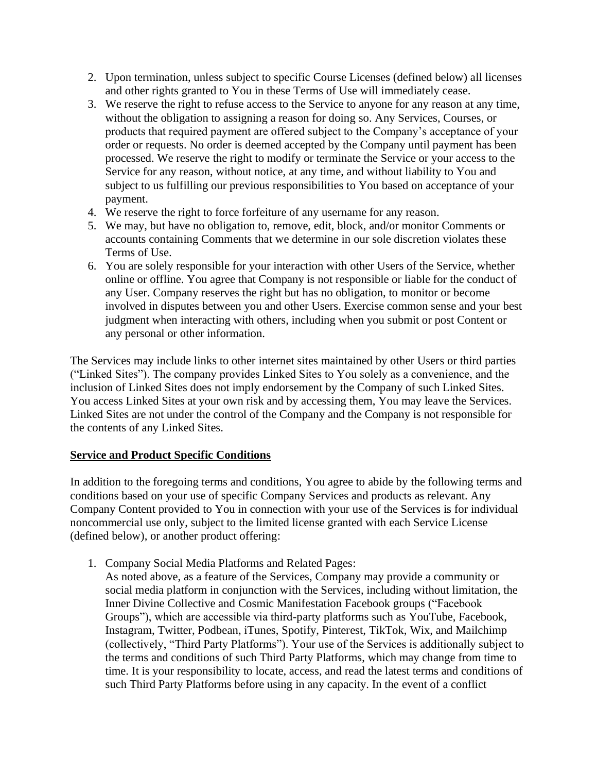- 2. Upon termination, unless subject to specific Course Licenses (defined below) all licenses and other rights granted to You in these Terms of Use will immediately cease.
- 3. We reserve the right to refuse access to the Service to anyone for any reason at any time, without the obligation to assigning a reason for doing so. Any Services, Courses, or products that required payment are offered subject to the Company's acceptance of your order or requests. No order is deemed accepted by the Company until payment has been processed. We reserve the right to modify or terminate the Service or your access to the Service for any reason, without notice, at any time, and without liability to You and subject to us fulfilling our previous responsibilities to You based on acceptance of your payment.
- 4. We reserve the right to force forfeiture of any username for any reason.
- 5. We may, but have no obligation to, remove, edit, block, and/or monitor Comments or accounts containing Comments that we determine in our sole discretion violates these Terms of Use.
- 6. You are solely responsible for your interaction with other Users of the Service, whether online or offline. You agree that Company is not responsible or liable for the conduct of any User. Company reserves the right but has no obligation, to monitor or become involved in disputes between you and other Users. Exercise common sense and your best judgment when interacting with others, including when you submit or post Content or any personal or other information.

The Services may include links to other internet sites maintained by other Users or third parties ("Linked Sites"). The company provides Linked Sites to You solely as a convenience, and the inclusion of Linked Sites does not imply endorsement by the Company of such Linked Sites. You access Linked Sites at your own risk and by accessing them, You may leave the Services. Linked Sites are not under the control of the Company and the Company is not responsible for the contents of any Linked Sites.

### **Service and Product Specific Conditions**

In addition to the foregoing terms and conditions, You agree to abide by the following terms and conditions based on your use of specific Company Services and products as relevant. Any Company Content provided to You in connection with your use of the Services is for individual noncommercial use only, subject to the limited license granted with each Service License (defined below), or another product offering:

- 1. Company Social Media Platforms and Related Pages:
	- As noted above, as a feature of the Services, Company may provide a community or social media platform in conjunction with the Services, including without limitation, the Inner Divine Collective and Cosmic Manifestation Facebook groups ("Facebook Groups"), which are accessible via third-party platforms such as YouTube, Facebook, Instagram, Twitter, Podbean, iTunes, Spotify, Pinterest, TikTok, Wix, and Mailchimp (collectively, "Third Party Platforms"). Your use of the Services is additionally subject to the terms and conditions of such Third Party Platforms, which may change from time to time. It is your responsibility to locate, access, and read the latest terms and conditions of such Third Party Platforms before using in any capacity. In the event of a conflict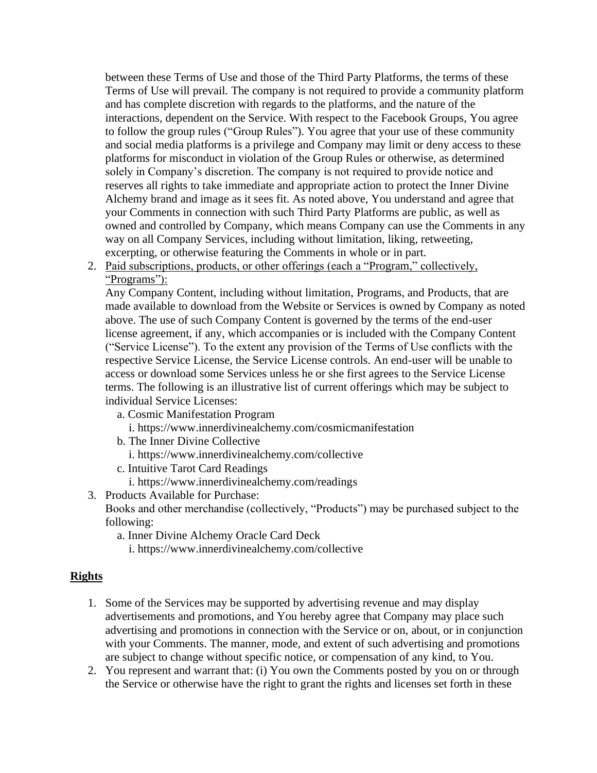between these Terms of Use and those of the Third Party Platforms, the terms of these Terms of Use will prevail. The company is not required to provide a community platform and has complete discretion with regards to the platforms, and the nature of the interactions, dependent on the Service. With respect to the Facebook Groups, You agree to follow the group rules ("Group Rules"). You agree that your use of these community and social media platforms is a privilege and Company may limit or deny access to these platforms for misconduct in violation of the Group Rules or otherwise, as determined solely in Company's discretion. The company is not required to provide notice and reserves all rights to take immediate and appropriate action to protect the Inner Divine Alchemy brand and image as it sees fit. As noted above, You understand and agree that your Comments in connection with such Third Party Platforms are public, as well as owned and controlled by Company, which means Company can use the Comments in any way on all Company Services, including without limitation, liking, retweeting, excerpting, or otherwise featuring the Comments in whole or in part.

2. Paid subscriptions, products, or other offerings (each a "Program," collectively, "Programs"):

Any Company Content, including without limitation, Programs, and Products, that are made available to download from the Website or Services is owned by Company as noted above. The use of such Company Content is governed by the terms of the end-user license agreement, if any, which accompanies or is included with the Company Content ("Service License"). To the extent any provision of the Terms of Use conflicts with the respective Service License, the Service License controls. An end-user will be unable to access or download some Services unless he or she first agrees to the Service License terms. The following is an illustrative list of current offerings which may be subject to individual Service Licenses:

- a. Cosmic Manifestation Program
	- i. https://www.innerdivinealchemy.com/cosmicmanifestation
- b. The Inner Divine Collective
	- i. https://www.innerdivinealchemy.com/collective
- c. Intuitive Tarot Card Readings
- i. https://www.innerdivinealchemy.com/readings
- 3. Products Available for Purchase: Books and other merchandise (collectively, "Products") may be purchased subject to the following:
	- a. Inner Divine Alchemy Oracle Card Deck
		- i. https://www.innerdivinealchemy.com/collective

## **Rights**

- 1. Some of the Services may be supported by advertising revenue and may display advertisements and promotions, and You hereby agree that Company may place such advertising and promotions in connection with the Service or on, about, or in conjunction with your Comments. The manner, mode, and extent of such advertising and promotions are subject to change without specific notice, or compensation of any kind, to You.
- 2. You represent and warrant that: (i) You own the Comments posted by you on or through the Service or otherwise have the right to grant the rights and licenses set forth in these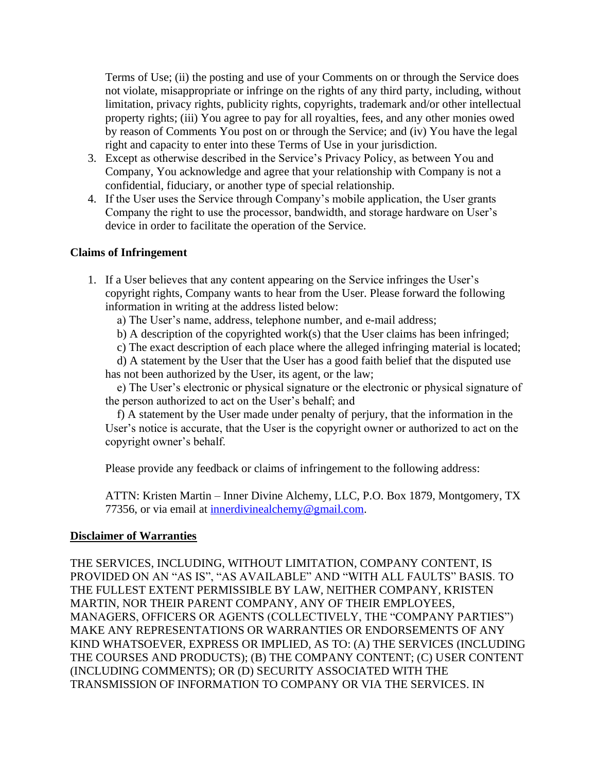Terms of Use; (ii) the posting and use of your Comments on or through the Service does not violate, misappropriate or infringe on the rights of any third party, including, without limitation, privacy rights, publicity rights, copyrights, trademark and/or other intellectual property rights; (iii) You agree to pay for all royalties, fees, and any other monies owed by reason of Comments You post on or through the Service; and (iv) You have the legal right and capacity to enter into these Terms of Use in your jurisdiction.

- 3. Except as otherwise described in the Service's Privacy Policy, as between You and Company, You acknowledge and agree that your relationship with Company is not a confidential, fiduciary, or another type of special relationship.
- 4. If the User uses the Service through Company's mobile application, the User grants Company the right to use the processor, bandwidth, and storage hardware on User's device in order to facilitate the operation of the Service.

#### **Claims of Infringement**

1. If a User believes that any content appearing on the Service infringes the User's copyright rights, Company wants to hear from the User. Please forward the following information in writing at the address listed below:

a) The User's name, address, telephone number, and e-mail address;

- b) A description of the copyrighted work(s) that the User claims has been infringed;
- c) The exact description of each place where the alleged infringing material is located;

d) A statement by the User that the User has a good faith belief that the disputed use has not been authorized by the User, its agent, or the law;

e) The User's electronic or physical signature or the electronic or physical signature of the person authorized to act on the User's behalf; and

f) A statement by the User made under penalty of perjury, that the information in the User's notice is accurate, that the User is the copyright owner or authorized to act on the copyright owner's behalf.

Please provide any feedback or claims of infringement to the following address:

ATTN: Kristen Martin – Inner Divine Alchemy, LLC, P.O. Box 1879, Montgomery, TX 77356, or via email at [innerdivinealchemy@gmail.com.](mailto:innerdivinealchemy@gmail.com)

#### **Disclaimer of Warranties**

THE SERVICES, INCLUDING, WITHOUT LIMITATION, COMPANY CONTENT, IS PROVIDED ON AN "AS IS", "AS AVAILABLE" AND "WITH ALL FAULTS" BASIS. TO THE FULLEST EXTENT PERMISSIBLE BY LAW, NEITHER COMPANY, KRISTEN MARTIN, NOR THEIR PARENT COMPANY, ANY OF THEIR EMPLOYEES, MANAGERS, OFFICERS OR AGENTS (COLLECTIVELY, THE "COMPANY PARTIES") MAKE ANY REPRESENTATIONS OR WARRANTIES OR ENDORSEMENTS OF ANY KIND WHATSOEVER, EXPRESS OR IMPLIED, AS TO: (A) THE SERVICES (INCLUDING THE COURSES AND PRODUCTS); (B) THE COMPANY CONTENT; (C) USER CONTENT (INCLUDING COMMENTS); OR (D) SECURITY ASSOCIATED WITH THE TRANSMISSION OF INFORMATION TO COMPANY OR VIA THE SERVICES. IN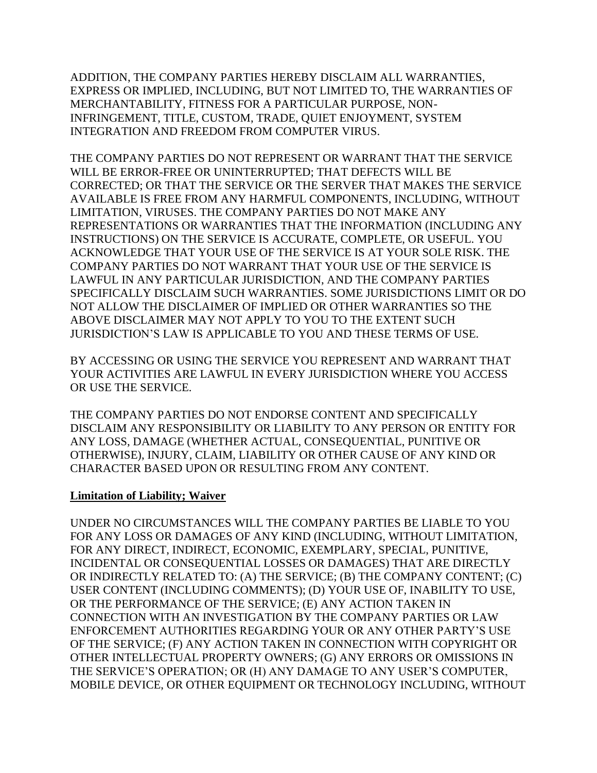ADDITION, THE COMPANY PARTIES HEREBY DISCLAIM ALL WARRANTIES, EXPRESS OR IMPLIED, INCLUDING, BUT NOT LIMITED TO, THE WARRANTIES OF MERCHANTABILITY, FITNESS FOR A PARTICULAR PURPOSE, NON-INFRINGEMENT, TITLE, CUSTOM, TRADE, QUIET ENJOYMENT, SYSTEM INTEGRATION AND FREEDOM FROM COMPUTER VIRUS.

THE COMPANY PARTIES DO NOT REPRESENT OR WARRANT THAT THE SERVICE WILL BE ERROR-FREE OR UNINTERRUPTED; THAT DEFECTS WILL BE CORRECTED; OR THAT THE SERVICE OR THE SERVER THAT MAKES THE SERVICE AVAILABLE IS FREE FROM ANY HARMFUL COMPONENTS, INCLUDING, WITHOUT LIMITATION, VIRUSES. THE COMPANY PARTIES DO NOT MAKE ANY REPRESENTATIONS OR WARRANTIES THAT THE INFORMATION (INCLUDING ANY INSTRUCTIONS) ON THE SERVICE IS ACCURATE, COMPLETE, OR USEFUL. YOU ACKNOWLEDGE THAT YOUR USE OF THE SERVICE IS AT YOUR SOLE RISK. THE COMPANY PARTIES DO NOT WARRANT THAT YOUR USE OF THE SERVICE IS LAWFUL IN ANY PARTICULAR JURISDICTION, AND THE COMPANY PARTIES SPECIFICALLY DISCLAIM SUCH WARRANTIES. SOME JURISDICTIONS LIMIT OR DO NOT ALLOW THE DISCLAIMER OF IMPLIED OR OTHER WARRANTIES SO THE ABOVE DISCLAIMER MAY NOT APPLY TO YOU TO THE EXTENT SUCH JURISDICTION'S LAW IS APPLICABLE TO YOU AND THESE TERMS OF USE.

BY ACCESSING OR USING THE SERVICE YOU REPRESENT AND WARRANT THAT YOUR ACTIVITIES ARE LAWFUL IN EVERY JURISDICTION WHERE YOU ACCESS OR USE THE SERVICE.

THE COMPANY PARTIES DO NOT ENDORSE CONTENT AND SPECIFICALLY DISCLAIM ANY RESPONSIBILITY OR LIABILITY TO ANY PERSON OR ENTITY FOR ANY LOSS, DAMAGE (WHETHER ACTUAL, CONSEQUENTIAL, PUNITIVE OR OTHERWISE), INJURY, CLAIM, LIABILITY OR OTHER CAUSE OF ANY KIND OR CHARACTER BASED UPON OR RESULTING FROM ANY CONTENT.

## **Limitation of Liability; Waiver**

UNDER NO CIRCUMSTANCES WILL THE COMPANY PARTIES BE LIABLE TO YOU FOR ANY LOSS OR DAMAGES OF ANY KIND (INCLUDING, WITHOUT LIMITATION, FOR ANY DIRECT, INDIRECT, ECONOMIC, EXEMPLARY, SPECIAL, PUNITIVE, INCIDENTAL OR CONSEQUENTIAL LOSSES OR DAMAGES) THAT ARE DIRECTLY OR INDIRECTLY RELATED TO: (A) THE SERVICE; (B) THE COMPANY CONTENT; (C) USER CONTENT (INCLUDING COMMENTS); (D) YOUR USE OF, INABILITY TO USE, OR THE PERFORMANCE OF THE SERVICE; (E) ANY ACTION TAKEN IN CONNECTION WITH AN INVESTIGATION BY THE COMPANY PARTIES OR LAW ENFORCEMENT AUTHORITIES REGARDING YOUR OR ANY OTHER PARTY'S USE OF THE SERVICE; (F) ANY ACTION TAKEN IN CONNECTION WITH COPYRIGHT OR OTHER INTELLECTUAL PROPERTY OWNERS; (G) ANY ERRORS OR OMISSIONS IN THE SERVICE'S OPERATION; OR (H) ANY DAMAGE TO ANY USER'S COMPUTER, MOBILE DEVICE, OR OTHER EQUIPMENT OR TECHNOLOGY INCLUDING, WITHOUT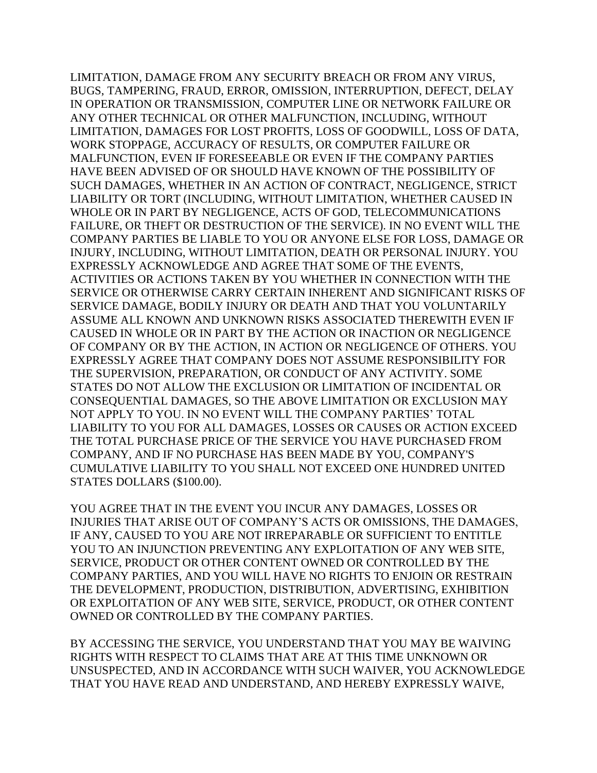LIMITATION, DAMAGE FROM ANY SECURITY BREACH OR FROM ANY VIRUS, BUGS, TAMPERING, FRAUD, ERROR, OMISSION, INTERRUPTION, DEFECT, DELAY IN OPERATION OR TRANSMISSION, COMPUTER LINE OR NETWORK FAILURE OR ANY OTHER TECHNICAL OR OTHER MALFUNCTION, INCLUDING, WITHOUT LIMITATION, DAMAGES FOR LOST PROFITS, LOSS OF GOODWILL, LOSS OF DATA, WORK STOPPAGE, ACCURACY OF RESULTS, OR COMPUTER FAILURE OR MALFUNCTION, EVEN IF FORESEEABLE OR EVEN IF THE COMPANY PARTIES HAVE BEEN ADVISED OF OR SHOULD HAVE KNOWN OF THE POSSIBILITY OF SUCH DAMAGES, WHETHER IN AN ACTION OF CONTRACT, NEGLIGENCE, STRICT LIABILITY OR TORT (INCLUDING, WITHOUT LIMITATION, WHETHER CAUSED IN WHOLE OR IN PART BY NEGLIGENCE, ACTS OF GOD, TELECOMMUNICATIONS FAILURE, OR THEFT OR DESTRUCTION OF THE SERVICE). IN NO EVENT WILL THE COMPANY PARTIES BE LIABLE TO YOU OR ANYONE ELSE FOR LOSS, DAMAGE OR INJURY, INCLUDING, WITHOUT LIMITATION, DEATH OR PERSONAL INJURY. YOU EXPRESSLY ACKNOWLEDGE AND AGREE THAT SOME OF THE EVENTS, ACTIVITIES OR ACTIONS TAKEN BY YOU WHETHER IN CONNECTION WITH THE SERVICE OR OTHERWISE CARRY CERTAIN INHERENT AND SIGNIFICANT RISKS OF SERVICE DAMAGE, BODILY INJURY OR DEATH AND THAT YOU VOLUNTARILY ASSUME ALL KNOWN AND UNKNOWN RISKS ASSOCIATED THEREWITH EVEN IF CAUSED IN WHOLE OR IN PART BY THE ACTION OR INACTION OR NEGLIGENCE OF COMPANY OR BY THE ACTION, IN ACTION OR NEGLIGENCE OF OTHERS. YOU EXPRESSLY AGREE THAT COMPANY DOES NOT ASSUME RESPONSIBILITY FOR THE SUPERVISION, PREPARATION, OR CONDUCT OF ANY ACTIVITY. SOME STATES DO NOT ALLOW THE EXCLUSION OR LIMITATION OF INCIDENTAL OR CONSEQUENTIAL DAMAGES, SO THE ABOVE LIMITATION OR EXCLUSION MAY NOT APPLY TO YOU. IN NO EVENT WILL THE COMPANY PARTIES' TOTAL LIABILITY TO YOU FOR ALL DAMAGES, LOSSES OR CAUSES OR ACTION EXCEED THE TOTAL PURCHASE PRICE OF THE SERVICE YOU HAVE PURCHASED FROM COMPANY, AND IF NO PURCHASE HAS BEEN MADE BY YOU, COMPANY'S CUMULATIVE LIABILITY TO YOU SHALL NOT EXCEED ONE HUNDRED UNITED STATES DOLLARS (\$100.00).

YOU AGREE THAT IN THE EVENT YOU INCUR ANY DAMAGES, LOSSES OR INJURIES THAT ARISE OUT OF COMPANY'S ACTS OR OMISSIONS, THE DAMAGES, IF ANY, CAUSED TO YOU ARE NOT IRREPARABLE OR SUFFICIENT TO ENTITLE YOU TO AN INJUNCTION PREVENTING ANY EXPLOITATION OF ANY WEB SITE, SERVICE, PRODUCT OR OTHER CONTENT OWNED OR CONTROLLED BY THE COMPANY PARTIES, AND YOU WILL HAVE NO RIGHTS TO ENJOIN OR RESTRAIN THE DEVELOPMENT, PRODUCTION, DISTRIBUTION, ADVERTISING, EXHIBITION OR EXPLOITATION OF ANY WEB SITE, SERVICE, PRODUCT, OR OTHER CONTENT OWNED OR CONTROLLED BY THE COMPANY PARTIES.

BY ACCESSING THE SERVICE, YOU UNDERSTAND THAT YOU MAY BE WAIVING RIGHTS WITH RESPECT TO CLAIMS THAT ARE AT THIS TIME UNKNOWN OR UNSUSPECTED, AND IN ACCORDANCE WITH SUCH WAIVER, YOU ACKNOWLEDGE THAT YOU HAVE READ AND UNDERSTAND, AND HEREBY EXPRESSLY WAIVE,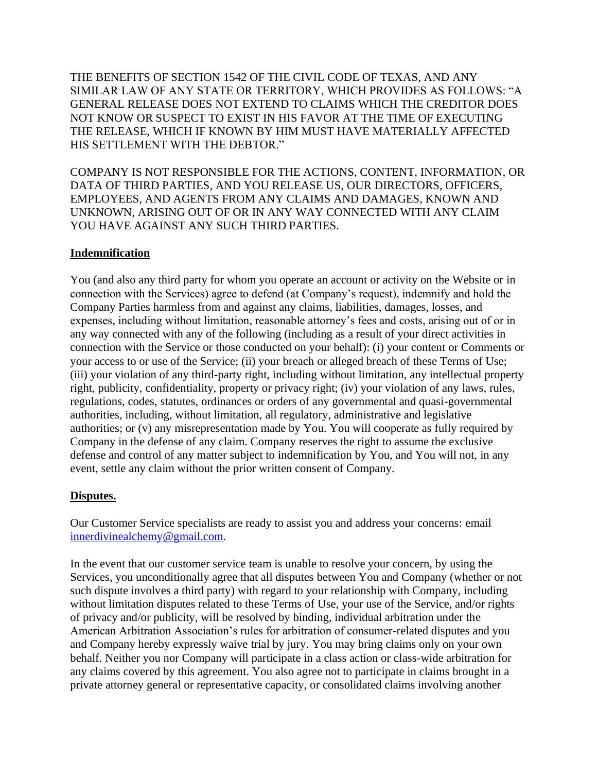THE BENEFITS OF SECTION 1542 OF THE CIVIL CODE OF TEXAS, AND ANY SIMILAR LAW OF ANY STATE OR TERRITORY, WHICH PROVIDES AS FOLLOWS: "A GENERAL RELEASE DOES NOT EXTEND TO CLAIMS WHICH THE CREDITOR DOES NOT KNOW OR SUSPECT TO EXIST IN HIS FAVOR AT THE TIME OF EXECUTING THE RELEASE, WHICH IF KNOWN BY HIM MUST HAVE MATERIALLY AFFECTED HIS SETTLEMENT WITH THE DEBTOR."

COMPANY IS NOT RESPONSIBLE FOR THE ACTIONS, CONTENT, INFORMATION, OR DATA OF THIRD PARTIES, AND YOU RELEASE US, OUR DIRECTORS, OFFICERS, EMPLOYEES, AND AGENTS FROM ANY CLAIMS AND DAMAGES, KNOWN AND UNKNOWN, ARISING OUT OF OR IN ANY WAY CONNECTED WITH ANY CLAIM YOU HAVE AGAINST ANY SUCH THIRD PARTIES.

## **Indemnification**

You (and also any third party for whom you operate an account or activity on the Website or in connection with the Services) agree to defend (at Company's request), indemnify and hold the Company Parties harmless from and against any claims, liabilities, damages, losses, and expenses, including without limitation, reasonable attorney's fees and costs, arising out of or in any way connected with any of the following (including as a result of your direct activities in connection with the Service or those conducted on your behalf): (i) your content or Comments or your access to or use of the Service; (ii) your breach or alleged breach of these Terms of Use; (iii) your violation of any third-party right, including without limitation, any intellectual property right, publicity, confidentiality, property or privacy right; (iv) your violation of any laws, rules, regulations, codes, statutes, ordinances or orders of any governmental and quasi-governmental authorities, including, without limitation, all regulatory, administrative and legislative authorities; or (v) any misrepresentation made by You. You will cooperate as fully required by Company in the defense of any claim. Company reserves the right to assume the exclusive defense and control of any matter subject to indemnification by You, and You will not, in any event, settle any claim without the prior written consent of Company.

## **Disputes.**

Our Customer Service specialists are ready to assist you and address your concerns: email [innerdivinealchemy@gmail.com.](mailto:innerdivinealchemy@gmail.com)

In the event that our customer service team is unable to resolve your concern, by using the Services, you unconditionally agree that all disputes between You and Company (whether or not such dispute involves a third party) with regard to your relationship with Company, including without limitation disputes related to these Terms of Use, your use of the Service, and/or rights of privacy and/or publicity, will be resolved by binding, individual arbitration under the American Arbitration Association's rules for arbitration of consumer-related disputes and you and Company hereby expressly waive trial by jury. You may bring claims only on your own behalf. Neither you nor Company will participate in a class action or class-wide arbitration for any claims covered by this agreement. You also agree not to participate in claims brought in a private attorney general or representative capacity, or consolidated claims involving another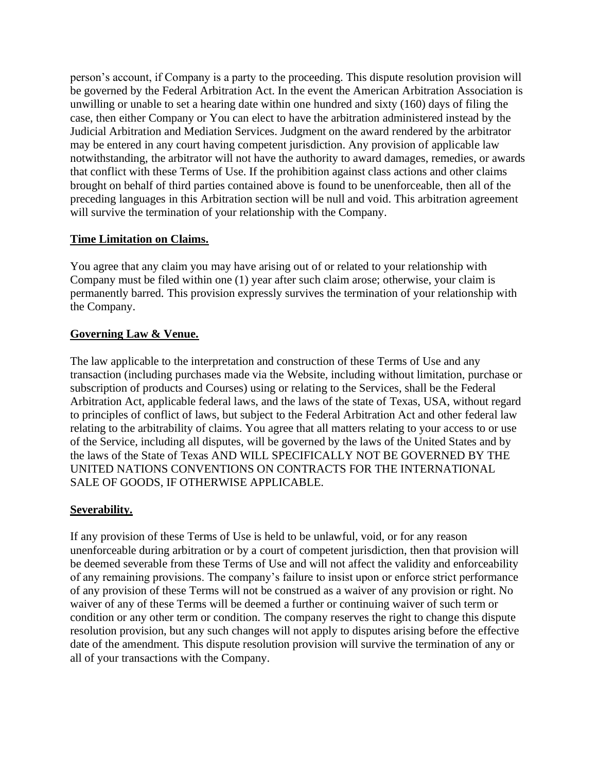person's account, if Company is a party to the proceeding. This dispute resolution provision will be governed by the Federal Arbitration Act. In the event the American Arbitration Association is unwilling or unable to set a hearing date within one hundred and sixty (160) days of filing the case, then either Company or You can elect to have the arbitration administered instead by the Judicial Arbitration and Mediation Services. Judgment on the award rendered by the arbitrator may be entered in any court having competent jurisdiction. Any provision of applicable law notwithstanding, the arbitrator will not have the authority to award damages, remedies, or awards that conflict with these Terms of Use. If the prohibition against class actions and other claims brought on behalf of third parties contained above is found to be unenforceable, then all of the preceding languages in this Arbitration section will be null and void. This arbitration agreement will survive the termination of your relationship with the Company.

## **Time Limitation on Claims.**

You agree that any claim you may have arising out of or related to your relationship with Company must be filed within one (1) year after such claim arose; otherwise, your claim is permanently barred. This provision expressly survives the termination of your relationship with the Company.

## **Governing Law & Venue.**

The law applicable to the interpretation and construction of these Terms of Use and any transaction (including purchases made via the Website, including without limitation, purchase or subscription of products and Courses) using or relating to the Services, shall be the Federal Arbitration Act, applicable federal laws, and the laws of the state of Texas, USA, without regard to principles of conflict of laws, but subject to the Federal Arbitration Act and other federal law relating to the arbitrability of claims. You agree that all matters relating to your access to or use of the Service, including all disputes, will be governed by the laws of the United States and by the laws of the State of Texas AND WILL SPECIFICALLY NOT BE GOVERNED BY THE UNITED NATIONS CONVENTIONS ON CONTRACTS FOR THE INTERNATIONAL SALE OF GOODS, IF OTHERWISE APPLICABLE.

## **Severability.**

If any provision of these Terms of Use is held to be unlawful, void, or for any reason unenforceable during arbitration or by a court of competent jurisdiction, then that provision will be deemed severable from these Terms of Use and will not affect the validity and enforceability of any remaining provisions. The company's failure to insist upon or enforce strict performance of any provision of these Terms will not be construed as a waiver of any provision or right. No waiver of any of these Terms will be deemed a further or continuing waiver of such term or condition or any other term or condition. The company reserves the right to change this dispute resolution provision, but any such changes will not apply to disputes arising before the effective date of the amendment. This dispute resolution provision will survive the termination of any or all of your transactions with the Company.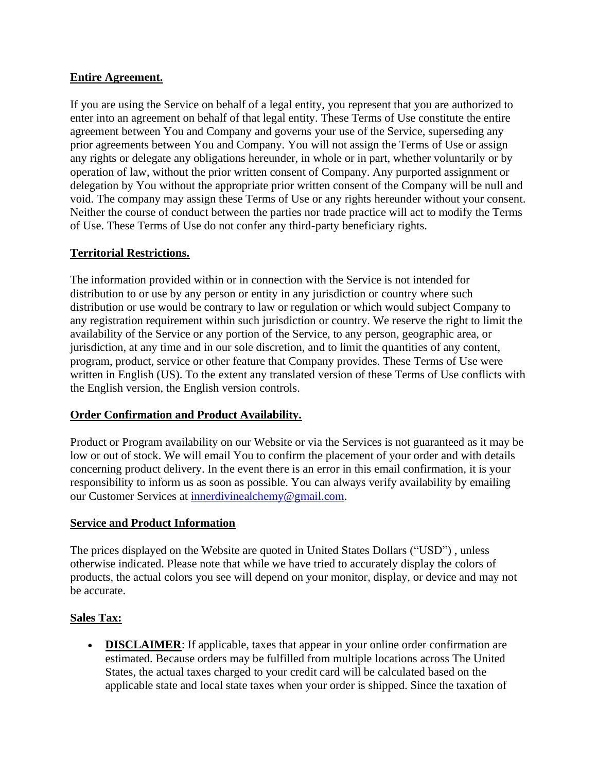## **Entire Agreement.**

If you are using the Service on behalf of a legal entity, you represent that you are authorized to enter into an agreement on behalf of that legal entity. These Terms of Use constitute the entire agreement between You and Company and governs your use of the Service, superseding any prior agreements between You and Company. You will not assign the Terms of Use or assign any rights or delegate any obligations hereunder, in whole or in part, whether voluntarily or by operation of law, without the prior written consent of Company. Any purported assignment or delegation by You without the appropriate prior written consent of the Company will be null and void. The company may assign these Terms of Use or any rights hereunder without your consent. Neither the course of conduct between the parties nor trade practice will act to modify the Terms of Use. These Terms of Use do not confer any third-party beneficiary rights.

# **Territorial Restrictions.**

The information provided within or in connection with the Service is not intended for distribution to or use by any person or entity in any jurisdiction or country where such distribution or use would be contrary to law or regulation or which would subject Company to any registration requirement within such jurisdiction or country. We reserve the right to limit the availability of the Service or any portion of the Service, to any person, geographic area, or jurisdiction, at any time and in our sole discretion, and to limit the quantities of any content, program, product, service or other feature that Company provides. These Terms of Use were written in English (US). To the extent any translated version of these Terms of Use conflicts with the English version, the English version controls.

## **Order Confirmation and Product Availability.**

Product or Program availability on our Website or via the Services is not guaranteed as it may be low or out of stock. We will email You to confirm the placement of your order and with details concerning product delivery. In the event there is an error in this email confirmation, it is your responsibility to inform us as soon as possible. You can always verify availability by emailing our Customer Services at [innerdivinealchemy@gmail.com.](mailto:innerdivinealchemy@gmail.com)

## **Service and Product Information**

The prices displayed on the Website are quoted in United States Dollars ("USD") , unless otherwise indicated. Please note that while we have tried to accurately display the colors of products, the actual colors you see will depend on your monitor, display, or device and may not be accurate.

## **Sales Tax:**

• **DISCLAIMER**: If applicable, taxes that appear in your online order confirmation are estimated. Because orders may be fulfilled from multiple locations across The United States, the actual taxes charged to your credit card will be calculated based on the applicable state and local state taxes when your order is shipped. Since the taxation of